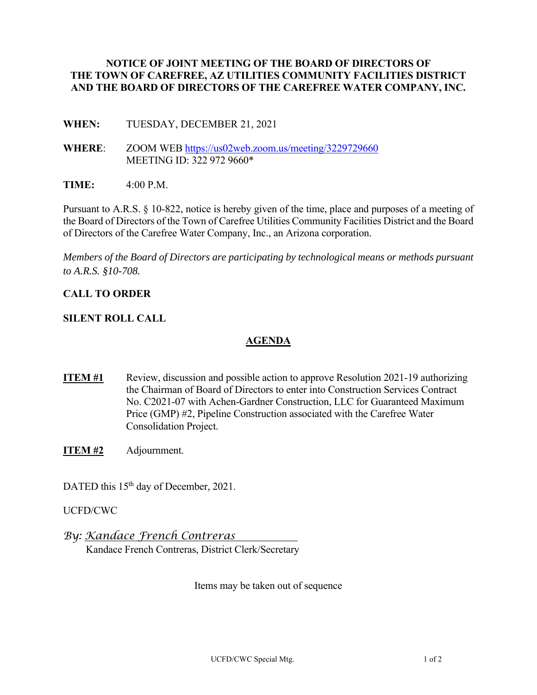### **NOTICE OF JOINT MEETING OF THE BOARD OF DIRECTORS OF THE TOWN OF CAREFREE, AZ UTILITIES COMMUNITY FACILITIES DISTRICT AND THE BOARD OF DIRECTORS OF THE CAREFREE WATER COMPANY, INC.**

**WHEN:** TUESDAY, DECEMBER 21, 2021

**WHERE**: ZOOM WEB https://us02web.zoom.us/meeting/3229729660 MEETING ID: 322 972 9660\*

**TIME:** 4:00 P.M.

Pursuant to A.R.S. § 10-822, notice is hereby given of the time, place and purposes of a meeting of the Board of Directors of the Town of Carefree Utilities Community Facilities District and the Board of Directors of the Carefree Water Company, Inc., an Arizona corporation.

*Members of the Board of Directors are participating by technological means or methods pursuant to A.R.S. §10-708.* 

# **CALL TO ORDER**

## **SILENT ROLL CALL**

## **AGENDA**

- **ITEM #1** Review, discussion and possible action to approve Resolution 2021-19 authorizing the Chairman of Board of Directors to enter into Construction Services Contract No. C2021-07 with Achen-Gardner Construction, LLC for Guaranteed Maximum Price (GMP) #2, Pipeline Construction associated with the Carefree Water Consolidation Project.
- **ITEM #2** Adjournment.

DATED this 15<sup>th</sup> day of December, 2021.

UCFD/CWC

*By: Kandace French Contreras* Kandace French Contreras, District Clerk/Secretary

Items may be taken out of sequence